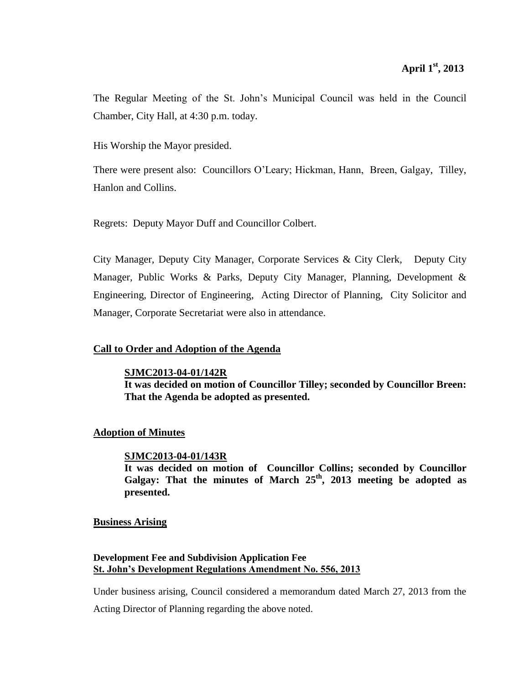The Regular Meeting of the St. John's Municipal Council was held in the Council Chamber, City Hall, at 4:30 p.m. today.

His Worship the Mayor presided.

There were present also: Councillors O'Leary; Hickman, Hann, Breen, Galgay, Tilley, Hanlon and Collins.

Regrets: Deputy Mayor Duff and Councillor Colbert.

City Manager, Deputy City Manager, Corporate Services & City Clerk, Deputy City Manager, Public Works & Parks, Deputy City Manager, Planning, Development & Engineering, Director of Engineering, Acting Director of Planning, City Solicitor and Manager, Corporate Secretariat were also in attendance.

## **Call to Order and Adoption of the Agenda**

**SJMC2013-04-01/142R**

**It was decided on motion of Councillor Tilley; seconded by Councillor Breen: That the Agenda be adopted as presented.**

## **Adoption of Minutes**

## **SJMC2013-04-01/143R**

**It was decided on motion of Councillor Collins; seconded by Councillor Galgay: That the minutes of March 25th , 2013 meeting be adopted as presented.**

## **Business Arising**

## **Development Fee and Subdivision Application Fee St. John's Development Regulations Amendment No. 556, 2013**

Under business arising, Council considered a memorandum dated March 27, 2013 from the

Acting Director of Planning regarding the above noted.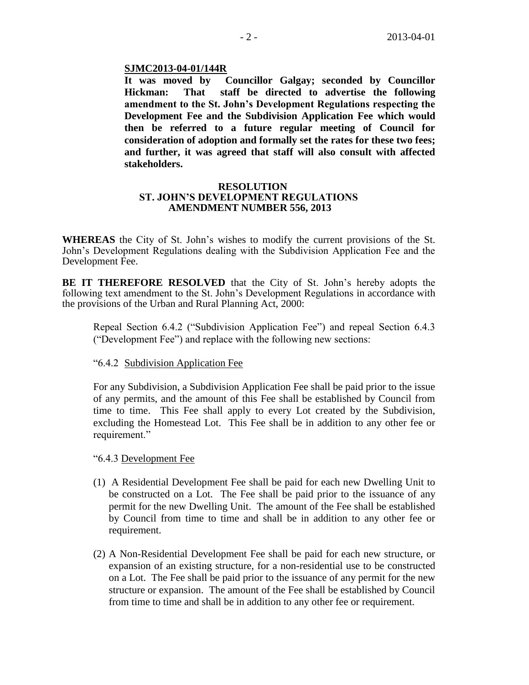## **SJMC2013-04-01/144R**

**It was moved by Councillor Galgay; seconded by Councillor Hickman: That staff be directed to advertise the following amendment to the St. John's Development Regulations respecting the Development Fee and the Subdivision Application Fee which would then be referred to a future regular meeting of Council for consideration of adoption and formally set the rates for these two fees; and further, it was agreed that staff will also consult with affected stakeholders.**

## **RESOLUTION ST. JOHN'S DEVELOPMENT REGULATIONS AMENDMENT NUMBER 556, 2013**

**WHEREAS** the City of St. John's wishes to modify the current provisions of the St. John's Development Regulations dealing with the Subdivision Application Fee and the Development Fee.

**BE IT THEREFORE RESOLVED** that the City of St. John's hereby adopts the following text amendment to the St. John's Development Regulations in accordance with the provisions of the Urban and Rural Planning Act, 2000:

Repeal Section 6.4.2 ("Subdivision Application Fee") and repeal Section 6.4.3 ("Development Fee") and replace with the following new sections:

## "6.4.2 Subdivision Application Fee

For any Subdivision, a Subdivision Application Fee shall be paid prior to the issue of any permits, and the amount of this Fee shall be established by Council from time to time. This Fee shall apply to every Lot created by the Subdivision, excluding the Homestead Lot. This Fee shall be in addition to any other fee or requirement."

### "6.4.3 Development Fee

- (1) A Residential Development Fee shall be paid for each new Dwelling Unit to be constructed on a Lot. The Fee shall be paid prior to the issuance of any permit for the new Dwelling Unit. The amount of the Fee shall be established by Council from time to time and shall be in addition to any other fee or requirement.
- (2) A Non-Residential Development Fee shall be paid for each new structure, or expansion of an existing structure, for a non-residential use to be constructed on a Lot. The Fee shall be paid prior to the issuance of any permit for the new structure or expansion. The amount of the Fee shall be established by Council from time to time and shall be in addition to any other fee or requirement.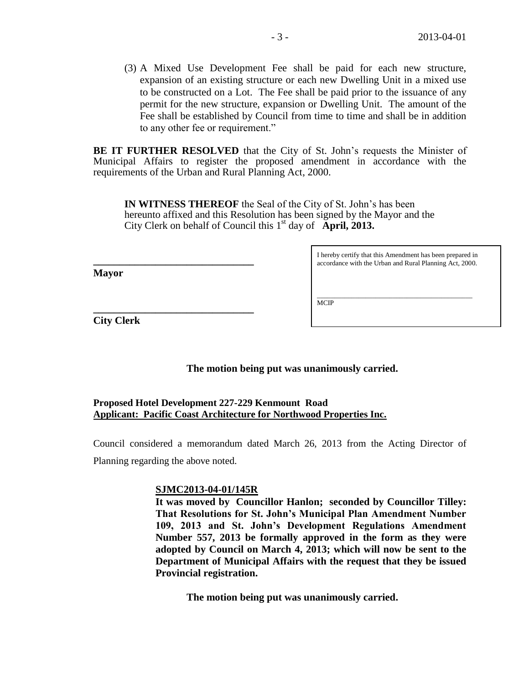(3) A Mixed Use Development Fee shall be paid for each new structure, expansion of an existing structure or each new Dwelling Unit in a mixed use to be constructed on a Lot. The Fee shall be paid prior to the issuance of any permit for the new structure, expansion or Dwelling Unit. The amount of the Fee shall be established by Council from time to time and shall be in addition to any other fee or requirement."

**BE IT FURTHER RESOLVED** that the City of St. John's requests the Minister of Municipal Affairs to register the proposed amendment in accordance with the requirements of the Urban and Rural Planning Act, 2000.

**IN WITNESS THEREOF** the Seal of the City of St. John's has been hereunto affixed and this Resolution has been signed by the Mayor and the City Clerk on behalf of Council this 1<sup>st</sup> day of **April, 2013.** 

**Mayor**

I hereby certify that this Amendment has been prepared in accordance with the Urban and Rural Planning Act, 2000.

\_\_\_\_\_\_\_\_\_\_\_\_\_\_\_\_\_\_\_\_\_\_\_\_\_\_\_\_\_\_\_\_\_\_\_\_\_\_\_\_\_\_\_\_\_ **MCIP** 

**City Clerk**

**\_\_\_\_\_\_\_\_\_\_\_\_\_\_\_\_\_\_\_\_\_\_\_\_\_\_\_\_\_\_\_**

**\_\_\_\_\_\_\_\_\_\_\_\_\_\_\_\_\_\_\_\_\_\_\_\_\_\_\_\_\_\_\_**

**The motion being put was unanimously carried.**

## **Proposed Hotel Development 227-229 Kenmount Road Applicant: Pacific Coast Architecture for Northwood Properties Inc.**

Council considered a memorandum dated March 26, 2013 from the Acting Director of Planning regarding the above noted.

## **SJMC2013-04-01/145R**

**It was moved by Councillor Hanlon; seconded by Councillor Tilley: That Resolutions for St. John's Municipal Plan Amendment Number 109, 2013 and St. John's Development Regulations Amendment Number 557, 2013 be formally approved in the form as they were adopted by Council on March 4, 2013; which will now be sent to the Department of Municipal Affairs with the request that they be issued Provincial registration.**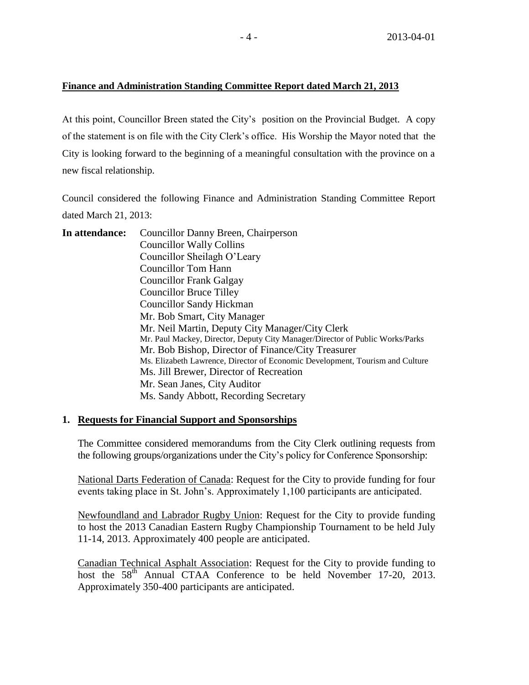## **Finance and Administration Standing Committee Report dated March 21, 2013**

At this point, Councillor Breen stated the City's position on the Provincial Budget. A copy of the statement is on file with the City Clerk's office. His Worship the Mayor noted that the City is looking forward to the beginning of a meaningful consultation with the province on a new fiscal relationship.

Council considered the following Finance and Administration Standing Committee Report dated March 21, 2013:

| In attendance: | Councillor Danny Breen, Chairperson                                           |
|----------------|-------------------------------------------------------------------------------|
|                | <b>Councillor Wally Collins</b>                                               |
|                | Councillor Sheilagh O'Leary                                                   |
|                | Councillor Tom Hann                                                           |
|                | Councillor Frank Galgay                                                       |
|                | <b>Councillor Bruce Tilley</b>                                                |
|                | <b>Councillor Sandy Hickman</b>                                               |
|                | Mr. Bob Smart, City Manager                                                   |
|                | Mr. Neil Martin, Deputy City Manager/City Clerk                               |
|                | Mr. Paul Mackey, Director, Deputy City Manager/Director of Public Works/Parks |
|                | Mr. Bob Bishop, Director of Finance/City Treasurer                            |
|                | Ms. Elizabeth Lawrence, Director of Economic Development, Tourism and Culture |
|                | Ms. Jill Brewer, Director of Recreation                                       |
|                | Mr. Sean Janes, City Auditor                                                  |
|                | Ms. Sandy Abbott, Recording Secretary                                         |
|                |                                                                               |

# **1. Requests for Financial Support and Sponsorships**

The Committee considered memorandums from the City Clerk outlining requests from the following groups/organizations under the City's policy for Conference Sponsorship:

National Darts Federation of Canada: Request for the City to provide funding for four events taking place in St. John's. Approximately 1,100 participants are anticipated.

Newfoundland and Labrador Rugby Union: Request for the City to provide funding to host the 2013 Canadian Eastern Rugby Championship Tournament to be held July 11-14, 2013. Approximately 400 people are anticipated.

Canadian Technical Asphalt Association: Request for the City to provide funding to host the  $58<sup>th</sup>$  Annual CTAA Conference to be held November 17-20, 2013. Approximately 350-400 participants are anticipated.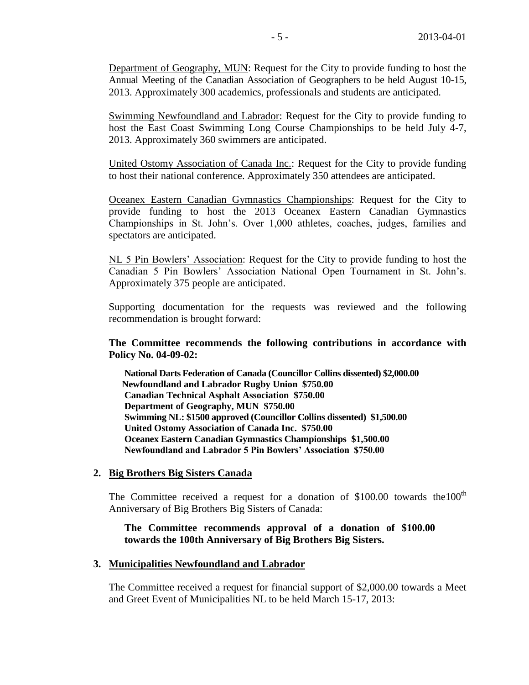Department of Geography, MUN: Request for the City to provide funding to host the Annual Meeting of the Canadian Association of Geographers to be held August 10-15, 2013. Approximately 300 academics, professionals and students are anticipated.

Swimming Newfoundland and Labrador: Request for the City to provide funding to host the East Coast Swimming Long Course Championships to be held July 4-7, 2013. Approximately 360 swimmers are anticipated.

United Ostomy Association of Canada Inc.: Request for the City to provide funding to host their national conference. Approximately 350 attendees are anticipated.

Oceanex Eastern Canadian Gymnastics Championships: Request for the City to provide funding to host the 2013 Oceanex Eastern Canadian Gymnastics Championships in St. John's. Over 1,000 athletes, coaches, judges, families and spectators are anticipated.

NL 5 Pin Bowlers' Association: Request for the City to provide funding to host the Canadian 5 Pin Bowlers' Association National Open Tournament in St. John's. Approximately 375 people are anticipated.

Supporting documentation for the requests was reviewed and the following recommendation is brought forward:

**The Committee recommends the following contributions in accordance with Policy No. 04-09-02:**

**National Darts Federation of Canada (Councillor Collins dissented) \$2,000.00 Newfoundland and Labrador Rugby Union \$750.00 Canadian Technical Asphalt Association \$750.00 Department of Geography, MUN \$750.00 Swimming NL: \$1500 approved (Councillor Collins dissented) \$1,500.00 United Ostomy Association of Canada Inc. \$750.00 Oceanex Eastern Canadian Gymnastics Championships \$1,500.00 Newfoundland and Labrador 5 Pin Bowlers' Association \$750.00**

## **2. Big Brothers Big Sisters Canada**

The Committee received a request for a donation of  $$100.00$  towards the 100<sup>th</sup> Anniversary of Big Brothers Big Sisters of Canada:

**The Committee recommends approval of a donation of \$100.00 towards the 100th Anniversary of Big Brothers Big Sisters.** 

### **3. Municipalities Newfoundland and Labrador**

The Committee received a request for financial support of \$2,000.00 towards a Meet and Greet Event of Municipalities NL to be held March 15-17, 2013: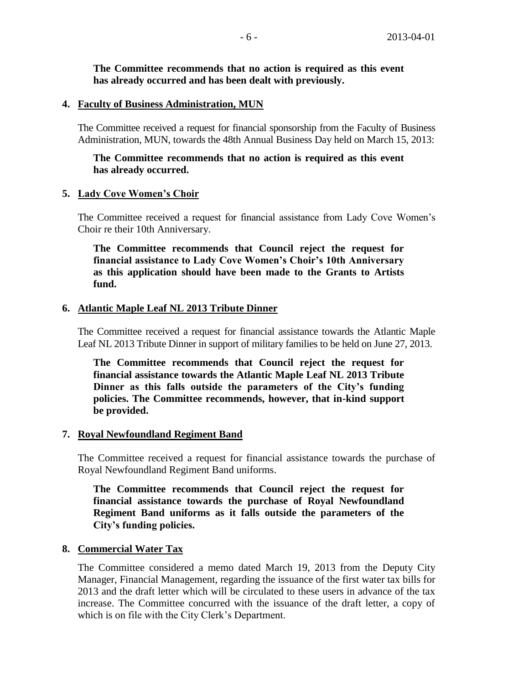**The Committee recommends that no action is required as this event has already occurred and has been dealt with previously.**

## **4. Faculty of Business Administration, MUN**

The Committee received a request for financial sponsorship from the Faculty of Business Administration, MUN, towards the 48th Annual Business Day held on March 15, 2013:

## **The Committee recommends that no action is required as this event has already occurred.**

## **5. Lady Cove Women's Choir**

The Committee received a request for financial assistance from Lady Cove Women's Choir re their 10th Anniversary.

**The Committee recommends that Council reject the request for financial assistance to Lady Cove Women's Choir's 10th Anniversary as this application should have been made to the Grants to Artists fund.** 

## **6. Atlantic Maple Leaf NL 2013 Tribute Dinner**

The Committee received a request for financial assistance towards the Atlantic Maple Leaf NL 2013 Tribute Dinner in support of military families to be held on June 27, 2013.

**The Committee recommends that Council reject the request for financial assistance towards the Atlantic Maple Leaf NL 2013 Tribute Dinner as this falls outside the parameters of the City's funding policies. The Committee recommends, however, that in-kind support be provided.**

## **7. Royal Newfoundland Regiment Band**

The Committee received a request for financial assistance towards the purchase of Royal Newfoundland Regiment Band uniforms.

**The Committee recommends that Council reject the request for financial assistance towards the purchase of Royal Newfoundland Regiment Band uniforms as it falls outside the parameters of the City's funding policies.** 

## **8. Commercial Water Tax**

The Committee considered a memo dated March 19, 2013 from the Deputy City Manager, Financial Management, regarding the issuance of the first water tax bills for 2013 and the draft letter which will be circulated to these users in advance of the tax increase. The Committee concurred with the issuance of the draft letter, a copy of which is on file with the City Clerk's Department.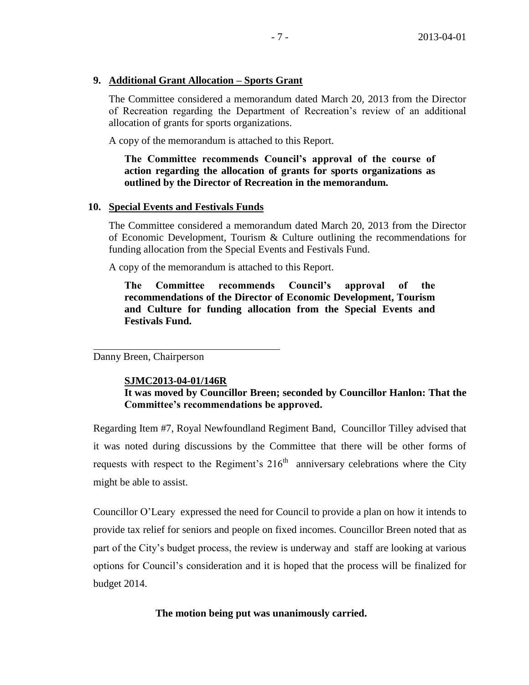## **9. Additional Grant Allocation – Sports Grant**

The Committee considered a memorandum dated March 20, 2013 from the Director of Recreation regarding the Department of Recreation's review of an additional allocation of grants for sports organizations.

A copy of the memorandum is attached to this Report.

# **The Committee recommends Council's approval of the course of action regarding the allocation of grants for sports organizations as outlined by the Director of Recreation in the memorandum.**

## **10. Special Events and Festivals Funds**

The Committee considered a memorandum dated March 20, 2013 from the Director of Economic Development, Tourism & Culture outlining the recommendations for funding allocation from the Special Events and Festivals Fund.

A copy of the memorandum is attached to this Report.

**The Committee recommends Council's approval of the recommendations of the Director of Economic Development, Tourism and Culture for funding allocation from the Special Events and Festivals Fund.**

Danny Breen, Chairperson

## **SJMC2013-04-01/146R**

# **It was moved by Councillor Breen; seconded by Councillor Hanlon: That the Committee's recommendations be approved.**

Regarding Item #7, Royal Newfoundland Regiment Band, Councillor Tilley advised that it was noted during discussions by the Committee that there will be other forms of requests with respect to the Regiment's  $216<sup>th</sup>$  anniversary celebrations where the City might be able to assist.

Councillor O'Leary expressed the need for Council to provide a plan on how it intends to provide tax relief for seniors and people on fixed incomes. Councillor Breen noted that as part of the City's budget process, the review is underway and staff are looking at various options for Council's consideration and it is hoped that the process will be finalized for budget 2014.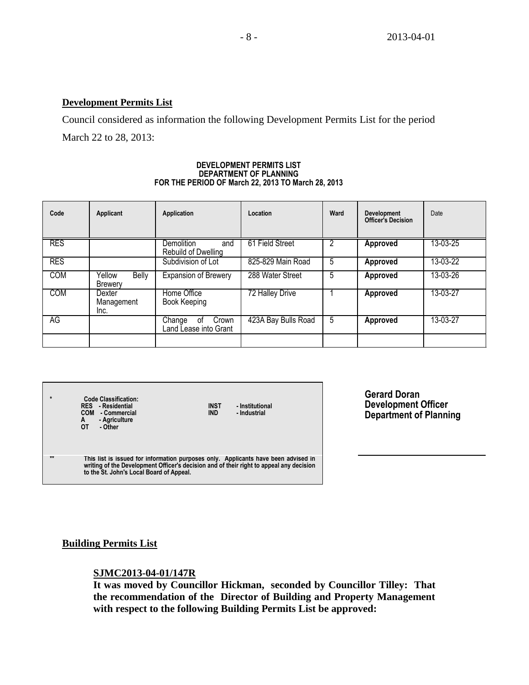# **Development Permits List**

Council considered as information the following Development Permits List for the period March 22 to 28, 2013:

#### **DEVELOPMENT PERMITS LIST DEPARTMENT OF PLANNING FOR THE PERIOD OF March 22, 2013 TO March 28, 2013**

| Code       | Applicant                         | Application                                    | Location            | Ward | <b>Development</b><br><b>Officer's Decision</b> | Date     |
|------------|-----------------------------------|------------------------------------------------|---------------------|------|-------------------------------------------------|----------|
| <b>RES</b> |                                   | Demolition<br>and<br>Rebuild of Dwelling       | 61 Field Street     |      | <b>Approved</b>                                 | 13-03-25 |
| <b>RES</b> |                                   | Subdivision of Lot                             | 825-829 Main Road   | 5    | Approved                                        | 13-03-22 |
| <b>COM</b> | Yellow<br><b>Belly</b><br>Brewery | <b>Expansion of Brewery</b>                    | 288 Water Street    | 5    | Approved                                        | 13-03-26 |
| <b>COM</b> | Dexter<br>Management<br>Inc.      | Home Office<br>Book Keeping                    | 72 Halley Drive     |      | <b>Approved</b>                                 | 13-03-27 |
| AG         |                                   | Crown<br>Change<br>0t<br>Land Lease into Grant | 423A Bay Bulls Road | 5    | Approved                                        | 13-03-27 |
|            |                                   |                                                |                     |      |                                                 |          |

| $\star$      | Code Classification:<br><b>RES</b> - Residential<br><b>COM</b><br>- Commercial<br>- Agriculture<br>A<br>ОТ<br>- Other                                                                                                     | <b>INST</b><br><b>IND</b> | - Institutional<br>- Industrial |
|--------------|---------------------------------------------------------------------------------------------------------------------------------------------------------------------------------------------------------------------------|---------------------------|---------------------------------|
| $\star\star$ | This list is issued for information purposes only. Applicants have been advised in<br>writing of the Development Officer's decision and of their right to appeal any decision<br>to the St. John's Local Board of Appeal. |                           |                                 |

**Gerard Doran Development Officer Department of Planning**

# **Building Permits List**

# **SJMC2013-04-01/147R**

**It was moved by Councillor Hickman, seconded by Councillor Tilley: That the recommendation of the Director of Building and Property Management with respect to the following Building Permits List be approved:**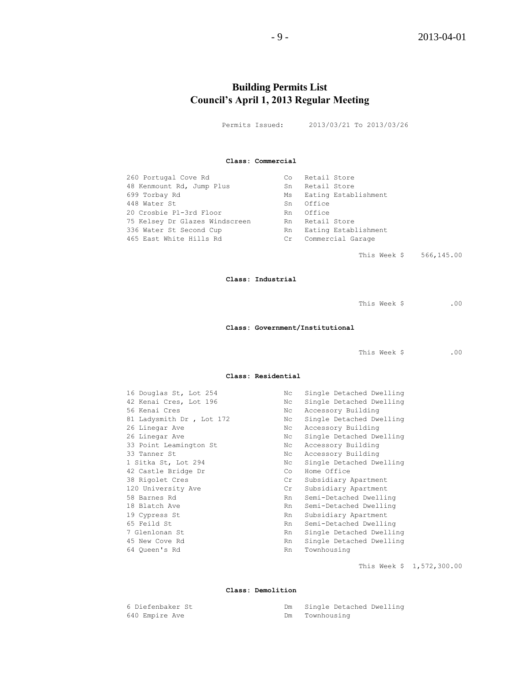# **Building Permits List Council's April 1, 2013 Regular Meeting**

Permits Issued: 2013/03/21 To 2013/03/26

### **Class: Commercial**

| 260 Portugal Cove Rd           | Co | Retail Store         |
|--------------------------------|----|----------------------|
| 48 Kenmount Rd, Jump Plus      | Sn | Retail Store         |
| 699 Torbay Rd                  | Ms | Eating Establishment |
| 448 Water St                   | Sn | Office               |
| 20 Crosbie Pl-3rd Floor        | Rn | Office               |
| 75 Kelsey Dr Glazes Windscreen | Rn | Retail Store         |
| 336 Water St Second Cup        | Rn | Eating Establishment |
| 465 East White Hills Rd        | Cr | Commercial Garage    |
|                                |    |                      |

This Week \$ 566,145.00

#### **Class: Industrial**

| This Week \$ | 0 <sup>0</sup> |
|--------------|----------------|
|              |                |

### **Class: Government/Institutional**

This Week \$ .00

### **Class: Residential**

| 16 Douglas St, Lot 254    | Nc | Single Detached Dwelling |
|---------------------------|----|--------------------------|
| 42 Kenai Cres, Lot 196    | Nc | Single Detached Dwelling |
| 56 Kenai Cres             | Nc | Accessory Building       |
| 81 Ladysmith Dr , Lot 172 | Nc | Single Detached Dwelling |
| 26 Linegar Ave            | Nc | Accessory Building       |
| 26 Linegar Ave            | Nc | Single Detached Dwelling |
| 33 Point Leamington St    | Nc | Accessory Building       |
| 33 Tanner St              | Nc | Accessory Building       |
| 1 Sitka St, Lot 294       | Nc | Single Detached Dwelling |
| 42 Castle Bridge Dr       | Co | Home Office              |
| 38 Rigolet Cres           | Cr | Subsidiary Apartment     |
| 120 University Ave        | Cr | Subsidiary Apartment     |
| 58 Barnes Rd              | Rn | Semi-Detached Dwelling   |
| 18 Blatch Ave             | Rn | Semi-Detached Dwelling   |
| 19 Cypress St             | Rn | Subsidiary Apartment     |
| 65 Feild St               | Rn | Semi-Detached Dwelling   |
| 7 Glenlonan St            | Rn | Single Detached Dwelling |
| 45 New Cove Rd            | Rn | Single Detached Dwelling |
| 64 Oueen's Rd             | Rn | Townhousing              |
|                           |    |                          |

This Week \$ 1,572,300.00

### **Class: Demolition**

| 6 Diefenbaker St |    | Single Detached Dwelling |
|------------------|----|--------------------------|
| 640 Empire Ave   | Dm | Townhousing              |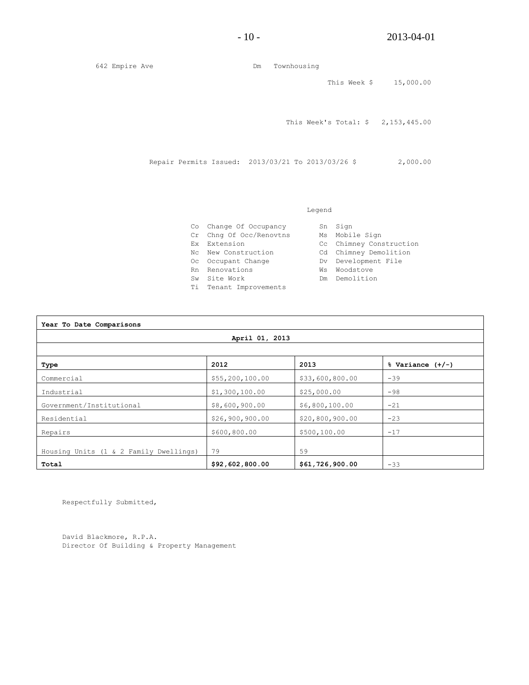$\overline{\mathbf{1}}$ 

642 Empire Ave Dm Townhousing This Week \$ 15,000.00 This Week's Total: \$ 2,153,445.00 Repair Permits Issued: 2013/03/21 To 2013/03/26 \$ 2,000.00

### Legend

|                                                                                                                                                                            | Sn Sign                 |
|----------------------------------------------------------------------------------------------------------------------------------------------------------------------------|-------------------------|
|                                                                                                                                                                            | Ms Mobile Sign          |
|                                                                                                                                                                            | Cc Chimney Construction |
|                                                                                                                                                                            | Cd Chimney Demolition   |
|                                                                                                                                                                            | Dv Development File     |
| Ws                                                                                                                                                                         | Woodstove               |
|                                                                                                                                                                            | Dm Demolition           |
|                                                                                                                                                                            |                         |
| Co Change Of Occupancy<br>Cr Chng Of Occ/Renovtns<br>Ex Extension<br>Nc New Construction<br>Oc Occupant Change<br>Rn Renovations<br>Sw Site Work<br>Ti Tenant Improvements |                         |

| Year To Date Comparisons               |                 |                 |                      |  |  |  |
|----------------------------------------|-----------------|-----------------|----------------------|--|--|--|
| April 01, 2013                         |                 |                 |                      |  |  |  |
|                                        |                 |                 |                      |  |  |  |
| Type                                   | 2012            | 2013            | $%$ Variance $(+/-)$ |  |  |  |
| Commercial                             | \$55,200,100.00 | \$33,600,800.00 | $-39$                |  |  |  |
| Industrial                             | \$1,300,100.00  | \$25,000.00     | $-98$                |  |  |  |
| Government/Institutional               | \$8,600,900.00  | \$6,800,100.00  | $-21$                |  |  |  |
| Residential                            | \$26,900,900.00 | \$20,800,900.00 | $-23$                |  |  |  |
| Repairs                                | \$600,800.00    | \$500,100.00    | $-17$                |  |  |  |
| Housing Units (1 & 2 Family Dwellings) | 79              | 59              |                      |  |  |  |
| Total                                  | \$92,602,800.00 | \$61,726,900.00 | $-33$                |  |  |  |

Respectfully Submitted,

David Blackmore, R.P.A. Director Of Building & Property Management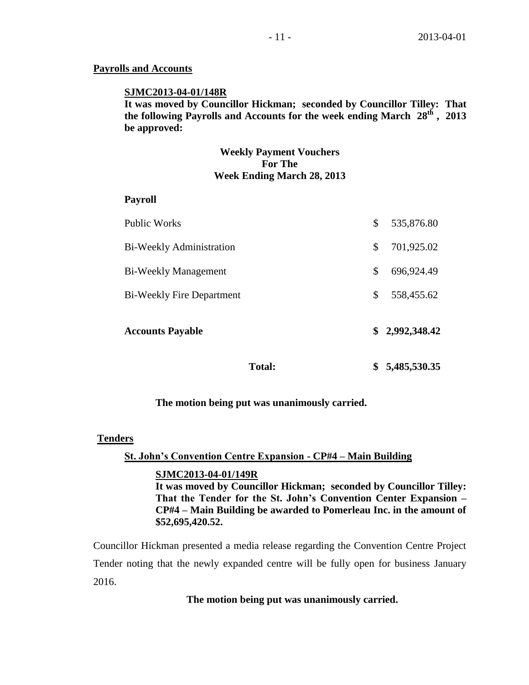## **Payrolls and Accounts**

## **SJMC2013-04-01/148R**

**It was moved by Councillor Hickman; seconded by Councillor Tilley: That the following Payrolls and Accounts for the week ending March 28 th , 2013 be approved:** 

## **Weekly Payment Vouchers For The Week Ending March 28, 2013**

## **Payroll**

| <b>Total:</b>                    | 5,485,530.35     |
|----------------------------------|------------------|
| <b>Accounts Payable</b>          | \$2,992,348.42   |
| <b>Bi-Weekly Fire Department</b> | \$<br>558,455.62 |
| <b>Bi-Weekly Management</b>      | \$<br>696,924.49 |
| <b>Bi-Weekly Administration</b>  | \$<br>701,925.02 |
| Public Works                     | \$<br>535,876.80 |

## **The motion being put was unanimously carried.**

## **Tenders**

## **St. John's Convention Centre Expansion - CP#4 – Main Building**

### **SJMC2013-04-01/149R**

**It was moved by Councillor Hickman; seconded by Councillor Tilley: That the Tender for the St. John's Convention Center Expansion – CP#4 – Main Building be awarded to Pomerleau Inc. in the amount of \$52,695,420.52.**

Councillor Hickman presented a media release regarding the Convention Centre Project Tender noting that the newly expanded centre will be fully open for business January 2016.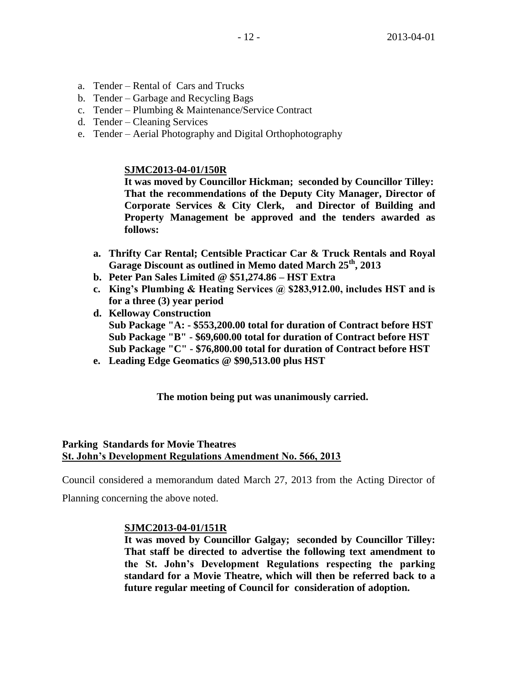- a. Tender Rental of Cars and Trucks
- b. Tender Garbage and Recycling Bags
- c. Tender Plumbing & Maintenance/Service Contract
- d. Tender Cleaning Services
- e. Tender Aerial Photography and Digital Orthophotography

# **SJMC2013-04-01/150R**

**It was moved by Councillor Hickman; seconded by Councillor Tilley: That the recommendations of the Deputy City Manager, Director of Corporate Services & City Clerk, and Director of Building and Property Management be approved and the tenders awarded as follows:**

- **a. Thrifty Car Rental; Centsible Practicar Car & Truck Rentals and Royal Garage Discount as outlined in Memo dated March 25th, 2013**
- **b. Peter Pan Sales Limited @ \$51,274.86 – HST Extra**
- **c. King's Plumbing & Heating Services @ \$283,912.00, includes HST and is for a three (3) year period**
- **d. Kelloway Construction Sub Package "A: - \$553,200.00 total for duration of Contract before HST Sub Package "B" - \$69,600.00 total for duration of Contract before HST Sub Package "C" - \$76,800.00 total for duration of Contract before HST**
- **e. Leading Edge Geomatics @ \$90,513.00 plus HST**

# **The motion being put was unanimously carried.**

# **Parking Standards for Movie Theatres St. John's Development Regulations Amendment No. 566, 2013**

Council considered a memorandum dated March 27, 2013 from the Acting Director of

Planning concerning the above noted.

# **SJMC2013-04-01/151R**

**It was moved by Councillor Galgay; seconded by Councillor Tilley: That staff be directed to advertise the following text amendment to the St. John's Development Regulations respecting the parking standard for a Movie Theatre, which will then be referred back to a future regular meeting of Council for consideration of adoption.**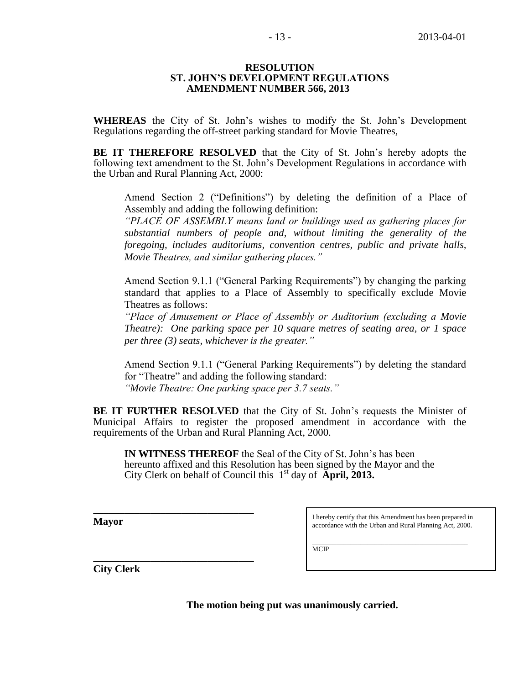### **RESOLUTION ST. JOHN'S DEVELOPMENT REGULATIONS AMENDMENT NUMBER 566, 2013**

**WHEREAS** the City of St. John's wishes to modify the St. John's Development Regulations regarding the off-street parking standard for Movie Theatres,

**BE IT THEREFORE RESOLVED** that the City of St. John's hereby adopts the following text amendment to the St. John's Development Regulations in accordance with the Urban and Rural Planning Act, 2000:

Amend Section 2 ("Definitions") by deleting the definition of a Place of Assembly and adding the following definition:

*"PLACE OF ASSEMBLY means land or buildings used as gathering places for substantial numbers of people and, without limiting the generality of the foregoing, includes auditoriums, convention centres, public and private halls, Movie Theatres, and similar gathering places."*

Amend Section 9.1.1 ("General Parking Requirements") by changing the parking standard that applies to a Place of Assembly to specifically exclude Movie Theatres as follows:

*"Place of Amusement or Place of Assembly or Auditorium (excluding a Movie Theatre): One parking space per 10 square metres of seating area, or 1 space per three (3) seats, whichever is the greater."*

Amend Section 9.1.1 ("General Parking Requirements") by deleting the standard for "Theatre" and adding the following standard: *"Movie Theatre: One parking space per 3.7 seats."*

**BE IT FURTHER RESOLVED** that the City of St. John's requests the Minister of Municipal Affairs to register the proposed amendment in accordance with the requirements of the Urban and Rural Planning Act, 2000.

**IN WITNESS THEREOF** the Seal of the City of St. John's has been hereunto affixed and this Resolution has been signed by the Mayor and the City Clerk on behalf of Council this 1<sup>st</sup> day of **April, 2013.** 

**Mayor**

**\_\_\_\_\_\_\_\_\_\_\_\_\_\_\_\_\_\_\_\_\_\_\_\_\_\_\_\_\_\_\_**

**\_\_\_\_\_\_\_\_\_\_\_\_\_\_\_\_\_\_\_\_\_\_\_\_\_\_\_\_\_\_\_**

I hereby certify that this Amendment has been prepared in accordance with the Urban and Rural Planning Act, 2000.

\_\_\_\_\_\_\_\_\_\_\_\_\_\_\_\_\_\_\_\_\_\_\_\_\_\_\_\_\_\_\_\_\_\_\_\_\_\_\_\_\_\_\_\_\_ MCIP

**City Clerk**